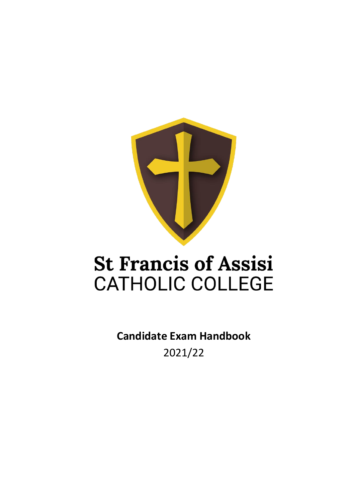

## **St Francis of Assisi CATHOLIC COLLEGE**

**Candidate Exam Handbook** 2021/22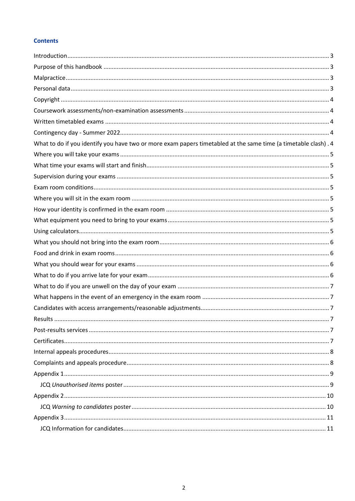#### **Contents**

| What to do if you identify you have two or more exam papers timetabled at the same time (a timetable clash). 4 |     |
|----------------------------------------------------------------------------------------------------------------|-----|
|                                                                                                                |     |
|                                                                                                                |     |
|                                                                                                                |     |
|                                                                                                                |     |
|                                                                                                                |     |
|                                                                                                                |     |
|                                                                                                                |     |
|                                                                                                                |     |
|                                                                                                                |     |
|                                                                                                                |     |
|                                                                                                                |     |
|                                                                                                                |     |
|                                                                                                                |     |
|                                                                                                                |     |
|                                                                                                                |     |
| Results                                                                                                        | . 7 |
|                                                                                                                |     |
|                                                                                                                |     |
|                                                                                                                |     |
|                                                                                                                |     |
|                                                                                                                |     |
|                                                                                                                |     |
|                                                                                                                |     |
|                                                                                                                |     |
|                                                                                                                |     |
|                                                                                                                |     |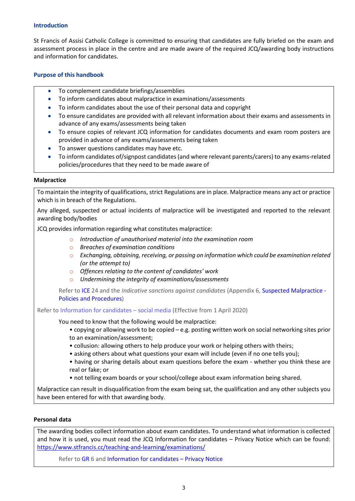#### <span id="page-2-0"></span>**Introduction**

St Francis of Assisi Catholic College is committed to ensuring that candidates are fully briefed on the exam and assessment process in place in the centre and are made aware of the required JCQ/awarding body instructions and information for candidates.

#### <span id="page-2-1"></span>**Purpose of this handbook**

- To complement candidate briefings/assemblies
- To inform candidates about malpractice in examinations/assessments
- To inform candidates about the use of their personal data and copyright
- To ensure candidates are provided with all relevant information about their exams and assessments in advance of any exams/assessments being taken
- To ensure copies of relevant JCQ information for candidates documents and exam room posters are provided in advance of any exams/assessments being taken
- To answer questions candidates may have etc.
- To inform candidates of/signpost candidates (and where relevant parents/carers) to any exams-related policies/procedures that they need to be made aware of

#### <span id="page-2-2"></span>**Malpractice**

To maintain the integrity of qualifications, strict Regulations are in place. Malpractice means any act or practice which is in breach of the Regulations.

Any alleged, suspected or actual incidents of malpractice will be investigated and reported to the relevant awarding body/bodies

JCQ provides information regarding what constitutes malpractice:

- o *Introduction of unauthorised material into the examination room*
- o *Breaches of examination conditions*
- o *Exchanging, obtaining, receiving, or passing on information which could be examination related (or the attempt to)*
- o *Offences relating to the content of candidates' work*
- o *Undermining the integrity of examinations/assessments*

Refer to [ICE](http://www.jcq.org.uk/exams-office/ice---instructions-for-conducting-examinations) 24 and the *Indicative sanctions against candidates* (Appendix 6[, Suspected Malpractice -](http://www.jcq.org.uk/exams-office/malpractice) [Policies and Procedures\)](http://www.jcq.org.uk/exams-office/malpractice)

Refer to [Information for](http://www.jcq.org.uk/exams-office/information-for-candidates-documents) candidates – social media (Effective from 1 April 2020)

You need to know that the following would be malpractice:

- copying or allowing work to be copied e.g. posting written work on social networking sites prior to an examination/assessment;
- collusion: allowing others to help produce your work or helping others with theirs;
- asking others about what questions your exam will include (even if no one tells you);
- having or sharing details about exam questions before the exam whether you think these are real or fake; or
- not telling exam boards or your school/college about exam information being shared.

Malpractice can result in disqualification from the exam being sat, the qualification and any other subjects you have been entered for with that awarding body.

#### <span id="page-2-3"></span>**Personal data**

The awarding bodies collect information about exam candidates. To understand what information is collected and how it is used, you must read the JCQ Information for candidates – Privacy Notice which can be found: <https://www.stfrancis.cc/teaching-and-learning/examinations/>

Refer to [GR](http://www.jcq.org.uk/exams-office/general-regulations) 6 an[d Information for candidates](http://www.jcq.org.uk/exams-office/information-for-candidates-documents) - Privacy Notice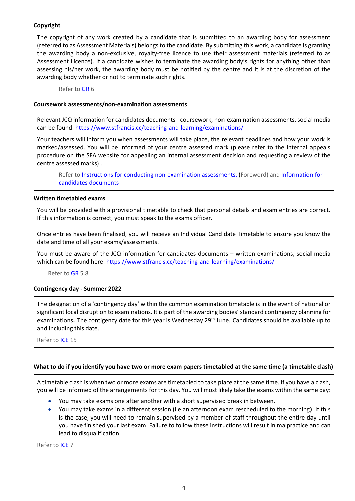#### <span id="page-3-0"></span>**Copyright**

The copyright of any work created by a candidate that is submitted to an awarding body for assessment (referred to as Assessment Materials) belongs to the candidate. By submitting this work, a candidate is granting the awarding body a non-exclusive, royalty-free licence to use their assessment materials (referred to as Assessment Licence). If a candidate wishes to terminate the awarding body's rights for anything other than assessing his/her work, the awarding body must be notified by the centre and it is at the discretion of the awarding body whether or not to terminate such rights.

Refer to [GR](http://www.jcq.org.uk/exams-office/general-regulations) 6

#### <span id="page-3-1"></span>**Coursework assessments/non-examination assessments**

Relevant JCQ information for candidates documents - coursework, non-examination assessments, social media can be found:<https://www.stfrancis.cc/teaching-and-learning/examinations/>

Your teachers will inform you when assessments will take place, the relevant deadlines and how your work is marked/assessed. You will be informed of your centre assessed mark (please refer to the internal appeals procedure on the SFA website for appealing an internal assessment decision and requesting a review of the centre assessed marks) .

Refer to [Instructions for conducting non-examination assessments,](https://www.jcq.org.uk/exams-office/non-examination-assessments) (Foreword) and [Information for](http://www.jcq.org.uk/exams-office/information-for-candidates-documents)  [candidates documents](http://www.jcq.org.uk/exams-office/information-for-candidates-documents)

#### <span id="page-3-2"></span>**Written timetabled exams**

You will be provided with a provisional timetable to check that personal details and exam entries are correct. If this information is correct, you must speak to the exams officer.

Once entries have been finalised, you will receive an Individual Candidate Timetable to ensure you know the date and time of all your exams/assessments.

You must be aware of the JCQ information for candidates documents – written examinations, social media which can be found here:<https://www.stfrancis.cc/teaching-and-learning/examinations/>

Refer to [GR](http://www.jcq.org.uk/exams-office/general-regulations) 5.8

#### <span id="page-3-3"></span>**Contingency day - Summer 2022**

The designation of a 'contingency day' within the common examination timetable is in the event of national or significant local disruption to examinations. It is part of the awarding bodies' standard contingency planning for examinations. The contigency date for this year is Wednesday 29<sup>th</sup> June. Candidates should be available up to and including this date.

Refer to [ICE](http://www.jcq.org.uk/exams-office/ice---instructions-for-conducting-examinations) 15

#### <span id="page-3-4"></span>**What to do if you identify you have two or more exam papers timetabled at the same time (a timetable clash)**

A timetable clash is when two or more exams are timetabled to take place at the same time. If you have a clash, you will be informed of the arrangements for this day. You will most likely take the exams within the same day:

- You may take exams one after another with a short supervised break in between.
- You may take exams in a different session (i.e an afternoon exam rescheduled to the morning). If this is the case, you will need to remain supervised by a member of staff throughout the entire day until you have finished your last exam. Failure to follow these instructions will result in malpractice and can lead to disqualification.

Refer to [ICE](http://www.jcq.org.uk/exams-office/ice---instructions-for-conducting-examinations) 7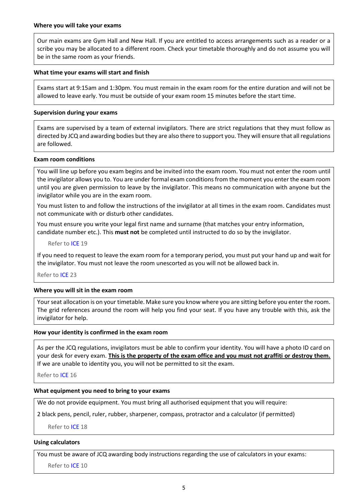<span id="page-4-0"></span>Our main exams are Gym Hall and New Hall. If you are entitled to access arrangements such as a reader or a scribe you may be allocated to a different room. Check your timetable thoroughly and do not assume you will be in the same room as your friends.

#### <span id="page-4-1"></span>**What time your exams will start and finish**

Exams start at 9:15am and 1:30pm. You must remain in the exam room for the entire duration and will not be allowed to leave early. You must be outside of your exam room 15 minutes before the start time.

#### <span id="page-4-2"></span>**Supervision during your exams**

Exams are supervised by a team of external invigilators. There are strict regulations that they must follow as directed by JCQ and awarding bodies but they are also there to support you. They will ensure that all regulations are followed.

#### <span id="page-4-3"></span>**Exam room conditions**

You will line up before you exam begins and be invited into the exam room. You must not enter the room until the invigilator allows you to. You are under formal exam conditions from the moment you enter the exam room until you are given permission to leave by the invigilator. This means no communication with anyone but the invigilator while you are in the exam room.

You must listen to and follow the instructions of the invigilator at all times in the exam room. Candidates must not communicate with or disturb other candidates.

You must ensure you write your legal first name and surname (that matches your entry information, candidate number etc.). This **must not** be completed until instructed to do so by the invigilator.

Refer to [ICE](http://www.jcq.org.uk/exams-office/ice---instructions-for-conducting-examinations) 19

If you need to request to leave the exam room for a temporary period, you must put your hand up and wait for the invigilator. You must not leave the room unescorted as you will not be allowed back in.

Refer to [ICE](http://www.jcq.org.uk/exams-office/ice---instructions-for-conducting-examinations) 23

#### <span id="page-4-4"></span>**Where you will sit in the exam room**

Your seat allocation is on your timetable. Make sure you know where you are sitting before you enter the room. The grid references around the room will help you find your seat. If you have any trouble with this, ask the invigilator for help.

#### <span id="page-4-5"></span>**How your identity is confirmed in the exam room**

As per the JCQ regulations, invigilators must be able to confirm your identity. You will have a photo ID card on your desk for every exam. **This is the property of the exam office and you must not graffiti or destroy them.** If we are unable to identity you, you will not be permitted to sit the exam.

Refer to [ICE](http://www.jcq.org.uk/exams-office/ice---instructions-for-conducting-examinations) 16

#### <span id="page-4-6"></span>**What equipment you need to bring to your exams**

We do not provide equipment. You must bring all authorised equipment that you will require:

2 black pens, pencil, ruler, rubber, sharpener, compass, protractor and a calculator (if permitted)

Refer to [ICE](http://www.jcq.org.uk/exams-office/ice---instructions-for-conducting-examinations) 18

#### <span id="page-4-7"></span>**Using calculators**

You must be aware of JCQ awarding body instructions regarding the use of calculators in your exams:

Refer to [ICE](http://www.jcq.org.uk/exams-office/ice---instructions-for-conducting-examinations) 10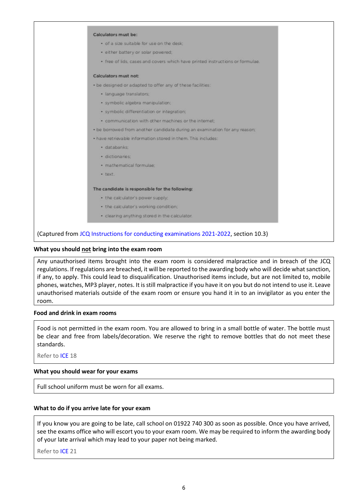| Calculators must be:                                                          |  |
|-------------------------------------------------------------------------------|--|
| . of a size suitable for use on the desk:                                     |  |
| · either battery or solar powered;                                            |  |
| · free of lids, cases and covers which have printed instructions or formulae. |  |
| Calculators must not:                                                         |  |
| . be designed or adapted to offer any of these facilities:                    |  |
| · language translators;                                                       |  |
| · symbolic algebra manipulation;                                              |  |
| · symbolic differentiation or integration:                                    |  |
| · communication with other machines or the internet:                          |  |
| . be borrowed from another candidate during an examination for any reason.    |  |
| . have retrievable information stored in them. This includes:                 |  |
| · databanks:                                                                  |  |
| · dictionaries:                                                               |  |
| · mathematical formulae:                                                      |  |
| · text.                                                                       |  |
| The candidate is responsible for the following:                               |  |
| · the calculator's power supply;                                              |  |
| · the calculator's working condition:                                         |  |
| · clearing anything stored in the calculator.                                 |  |

#### <span id="page-5-0"></span>**What you should not bring into the exam room**

Any unauthorised items brought into the exam room is considered malpractice and in breach of the JCQ regulations. If regulations are breached, it will be reported to the awarding body who will decide what sanction, if any, to apply. This could lead to disqualification. Unauthorised items include, but are not limited to, mobile phones, watches, MP3 player, notes. It is still malpractice if you have it on you but do not intend to use it. Leave unauthorised materials outside of the exam room or ensure you hand it in to an invigilator as you enter the room.

#### <span id="page-5-1"></span>**Food and drink in exam rooms**

Food is not permitted in the exam room. You are allowed to bring in a small bottle of water. The bottle must be clear and free from labels/decoration. We reserve the right to remove bottles that do not meet these standards.

Refer to [ICE](http://www.jcq.org.uk/exams-office/ice---instructions-for-conducting-examinations) 18

#### <span id="page-5-2"></span>**What you should wear for your exams**

Full school uniform must be worn for all exams.

#### <span id="page-5-3"></span>**What to do if you arrive late for your exam**

If you know you are going to be late, call school on 01922 740 300 as soon as possible. Once you have arrived, see the exams office who will escort you to your exam room. We may be required to inform the awarding body of your late arrival which may lead to your paper not being marked.

Refer to [ICE](http://www.jcq.org.uk/exams-office/ice---instructions-for-conducting-examinations) 21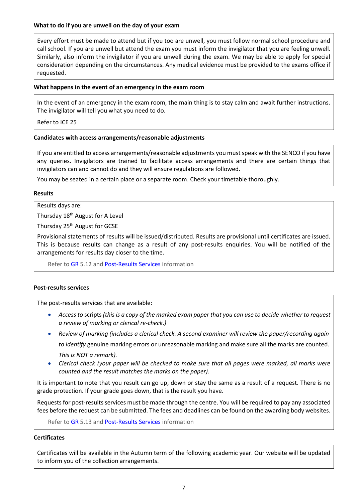#### <span id="page-6-0"></span>**What to do if you are unwell on the day of your exam**

Every effort must be made to attend but if you too are unwell, you must follow normal school procedure and call school. If you are unwell but attend the exam you must inform the invigilator that you are feeling unwell. Similarly, also inform the invigilator if you are unwell during the exam. We may be able to apply for special consideration depending on the circumstances. Any medical evidence must be provided to the exams office if requested.

#### <span id="page-6-1"></span>**What happens in the event of an emergency in the exam room**

In the event of an emergency in the exam room, the main thing is to stay calm and await further instructions. The invigilator will tell you what you need to do.

Refer to [ICE](http://www.jcq.org.uk/exams-office/ice---instructions-for-conducting-examinations) 25

#### <span id="page-6-2"></span>**Candidates with access arrangements/reasonable adjustments**

If you are entitled to access arrangements/reasonable adjustments you must speak with the SENCO if you have any queries. Invigilators are trained to facilitate access arrangements and there are certain things that invigilators can and cannot do and they will ensure regulations are followed.

You may be seated in a certain place or a separate room. Check your timetable thoroughly.

#### <span id="page-6-3"></span>**Results**

Results days are:

Thursday 18<sup>th</sup> August for A Level

Thursday 25<sup>th</sup> August for GCSE

Provisional statements of results will be issued/distributed. Results are provisional until certificates are issued. This is because results can change as a result of any post-results enquiries. You will be notified of the arrangements for results day closer to the time.

Refer to [GR](http://www.jcq.org.uk/exams-office/general-regulations) 5.12 an[d Post-Results Services](https://www.jcq.org.uk/exams-office/post-results-services) information

#### <span id="page-6-4"></span>**Post-results services**

The post-results services that are available:

- Access to scripts (this is a copy of the marked exam paper that you can use to decide whether to request *a review of marking or clerical re-check.)*
- *Review of marking (includes a clerical check. A second examiner will review the paper/recording again to identify* genuine marking errors or unreasonable marking and make sure all the marks are counted. *This is NOT a remark).*
- *Clerical check (your paper will be checked to make sure that all pages were marked, all marks were counted and the result matches the marks on the paper).*

It is important to note that you result can go up, down or stay the same as a result of a request. There is no grade protection. If your grade goes down, that is the result you have.

Requests for post-results services must be made through the centre. You will be required to pay any associated fees before the request can be submitted. The fees and deadlines can be found on the awarding body websites.

Refer to [GR](http://www.jcq.org.uk/exams-office/general-regulations) 5.13 an[d Post-Results](https://www.jcq.org.uk/exams-office/post-results-services) Services information

#### <span id="page-6-5"></span>**Certificates**

Certificates will be available in the Autumn term of the following academic year. Our website will be updated to inform you of the collection arrangements.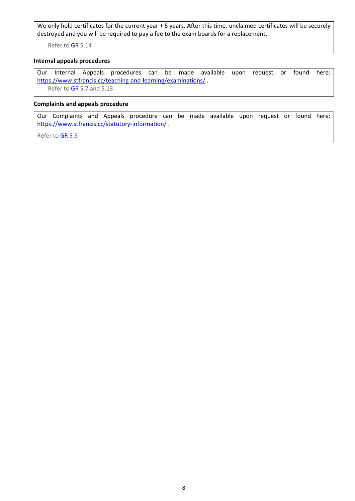We only hold certificates for the current year + 5 years. After this time, unclaimed certificates will be securely destroyed and you will be required to pay a fee to the exam boards for a replacement.

Refer to [GR](http://www.jcq.org.uk/exams-office/general-regulations) 5.14

#### <span id="page-7-0"></span>**Internal appeals procedures**

Our Internal Appeals procedures can be made available upon request or found here: <https://www.stfrancis.cc/teaching-and-learning/examinations/>. Refer to [GR](http://www.jcq.org.uk/exams-office/general-regulations) 5.7 and 5.13

#### <span id="page-7-1"></span>**Complaints and appeals procedure**

Our Complaints and Appeals procedure can be made available upon request or found here: <https://www.stfrancis.cc/statutory-information/> .

Refer to [GR](http://www.jcq.org.uk/exams-office/general-regulations) 5.8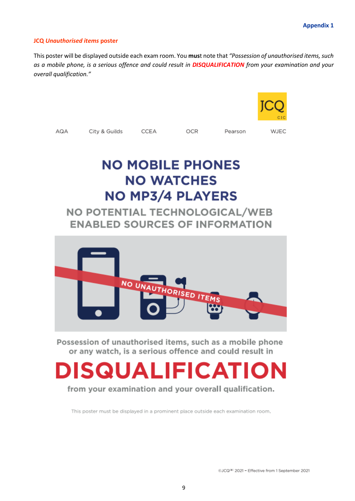#### <span id="page-8-1"></span><span id="page-8-0"></span>**JCQ** *Unauthorised items* **poster**

This poster will be displayed outside each exam room. You **mus**t note that *"Possession of unauthorised items, such as a mobile phone, is a serious offence and could result in DISQUALIFICATION from your examination and your overall qualification."*





Possession of unauthorised items, such as a mobile phone or any watch, is a serious offence and could result in

# **DISQUALIFICATION**

from your examination and your overall qualification.

This poster must be displayed in a prominent place outside each examination room.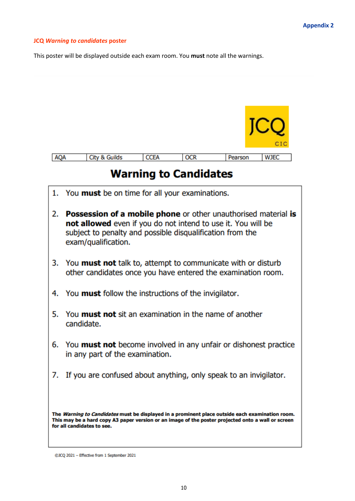#### <span id="page-9-1"></span><span id="page-9-0"></span>**JCQ** *Warning to candidates* **poster**

This poster will be displayed outside each exam room. You **must** note all the warnings.

|            |                          |             |            |         | CIC         |
|------------|--------------------------|-------------|------------|---------|-------------|
| <b>AQA</b> | <b>City &amp; Guilds</b> | <b>CCEA</b> | <b>OCR</b> | Pearson | <b>WJEC</b> |

### **Warning to Candidates**

1. You must be on time for all your examinations. 2. Possession of a mobile phone or other unauthorised material is not allowed even if you do not intend to use it. You will be subject to penalty and possible disqualification from the exam/qualification. 3. You **must not** talk to, attempt to communicate with or disturb other candidates once you have entered the examination room. 4. You **must** follow the instructions of the invigilator. 5. You **must not** sit an examination in the name of another candidate. 6. You must not become involved in any unfair or dishonest practice in any part of the examination. 7. If you are confused about anything, only speak to an invigilator. The Warning to Candidates must be displayed in a prominent place outside each examination room. This may be a hard copy A3 paper version or an image of the poster projected onto a wall or screen for all candidates to see.

<sup>@</sup>JCQ 2021 - Effective from 1 September 2021